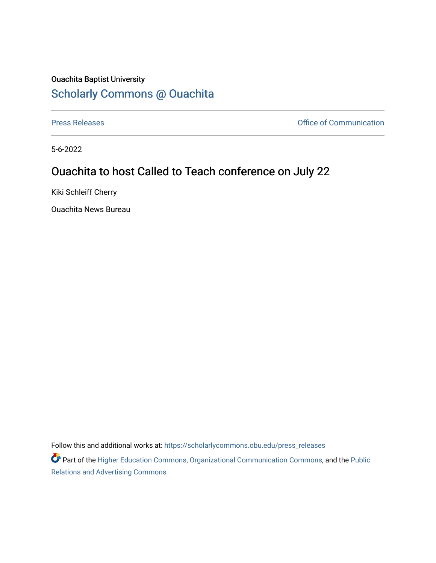## Ouachita Baptist University [Scholarly Commons @ Ouachita](https://scholarlycommons.obu.edu/)

[Press Releases](https://scholarlycommons.obu.edu/press_releases) **Press Releases Communication** 

5-6-2022

## Ouachita to host Called to Teach conference on July 22

Kiki Schleiff Cherry

Ouachita News Bureau

Follow this and additional works at: [https://scholarlycommons.obu.edu/press\\_releases](https://scholarlycommons.obu.edu/press_releases?utm_source=scholarlycommons.obu.edu%2Fpress_releases%2F1090&utm_medium=PDF&utm_campaign=PDFCoverPages)

Part of the [Higher Education Commons,](http://network.bepress.com/hgg/discipline/1245?utm_source=scholarlycommons.obu.edu%2Fpress_releases%2F1090&utm_medium=PDF&utm_campaign=PDFCoverPages) [Organizational Communication Commons,](http://network.bepress.com/hgg/discipline/335?utm_source=scholarlycommons.obu.edu%2Fpress_releases%2F1090&utm_medium=PDF&utm_campaign=PDFCoverPages) and the [Public](http://network.bepress.com/hgg/discipline/336?utm_source=scholarlycommons.obu.edu%2Fpress_releases%2F1090&utm_medium=PDF&utm_campaign=PDFCoverPages) [Relations and Advertising Commons](http://network.bepress.com/hgg/discipline/336?utm_source=scholarlycommons.obu.edu%2Fpress_releases%2F1090&utm_medium=PDF&utm_campaign=PDFCoverPages)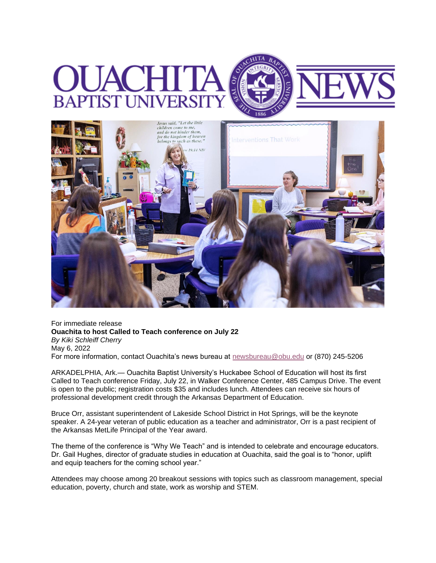



For immediate release **Ouachita to host Called to Teach conference on July 22** *By Kiki Schleiff Cherry* May 6, 2022 For more information, contact Ouachita's news bureau at [newsbureau@obu.edu](mailto:newsbureau@obu.edu) or (870) 245-5206

ARKADELPHIA, Ark.— Ouachita Baptist University's Huckabee School of Education will host its first Called to Teach conference Friday, July 22, in Walker Conference Center, 485 Campus Drive. The event is open to the public; registration costs \$35 and includes lunch. Attendees can receive six hours of professional development credit through the Arkansas Department of Education.

Bruce Orr, assistant superintendent of Lakeside School District in Hot Springs, will be the keynote speaker. A 24-year veteran of public education as a teacher and administrator, Orr is a past recipient of the Arkansas MetLife Principal of the Year award.

The theme of the conference is "Why We Teach" and is intended to celebrate and encourage educators. Dr. Gail Hughes, director of graduate studies in education at Ouachita, said the goal is to "honor, uplift and equip teachers for the coming school year."

Attendees may choose among 20 breakout sessions with topics such as classroom management, special education, poverty, church and state, work as worship and STEM.